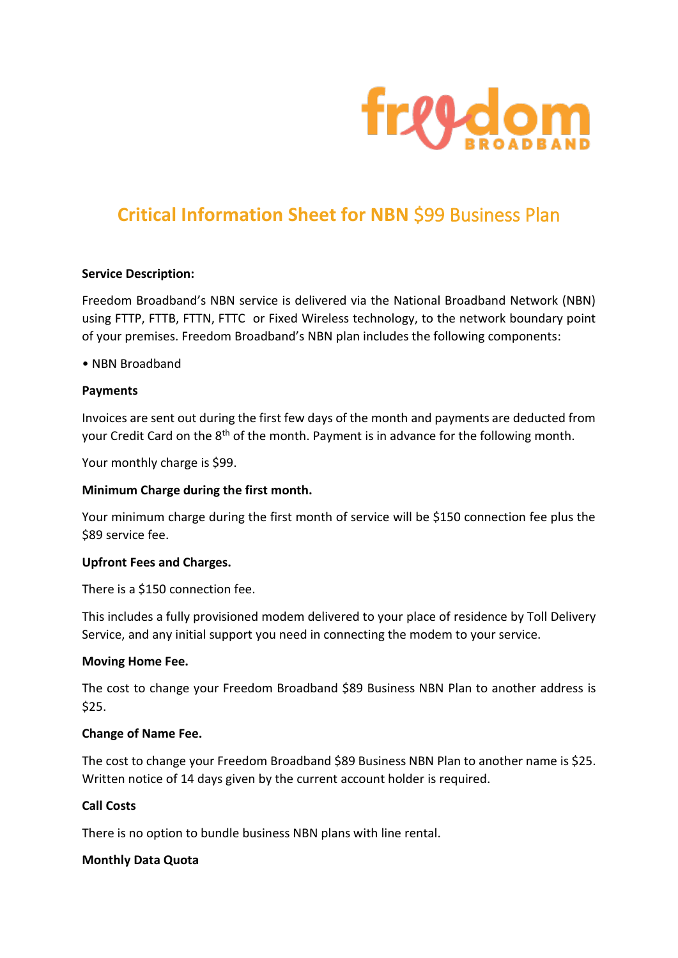

# **Critical Information Sheet for NBN** \$99 Business Plan

## **Service Description:**

Freedom Broadband's NBN service is delivered via the National Broadband Network (NBN) using FTTP, FTTB, FTTN, FTTC or Fixed Wireless technology, to the network boundary point of your premises. Freedom Broadband's NBN plan includes the following components:

## • NBN Broadband

## **Payments**

Invoices are sent out during the first few days of the month and payments are deducted from your Credit Card on the 8<sup>th</sup> of the month. Payment is in advance for the following month.

Your monthly charge is \$99.

## **Minimum Charge during the first month.**

Your minimum charge during the first month of service will be \$150 connection fee plus the \$89 service fee.

#### **Upfront Fees and Charges.**

There is a \$150 connection fee.

This includes a fully provisioned modem delivered to your place of residence by Toll Delivery Service, and any initial support you need in connecting the modem to your service.

#### **Moving Home Fee.**

The cost to change your Freedom Broadband \$89 Business NBN Plan to another address is \$25.

#### **Change of Name Fee.**

The cost to change your Freedom Broadband \$89 Business NBN Plan to another name is \$25. Written notice of 14 days given by the current account holder is required.

## **Call Costs**

There is no option to bundle business NBN plans with line rental.

#### **Monthly Data Quota**